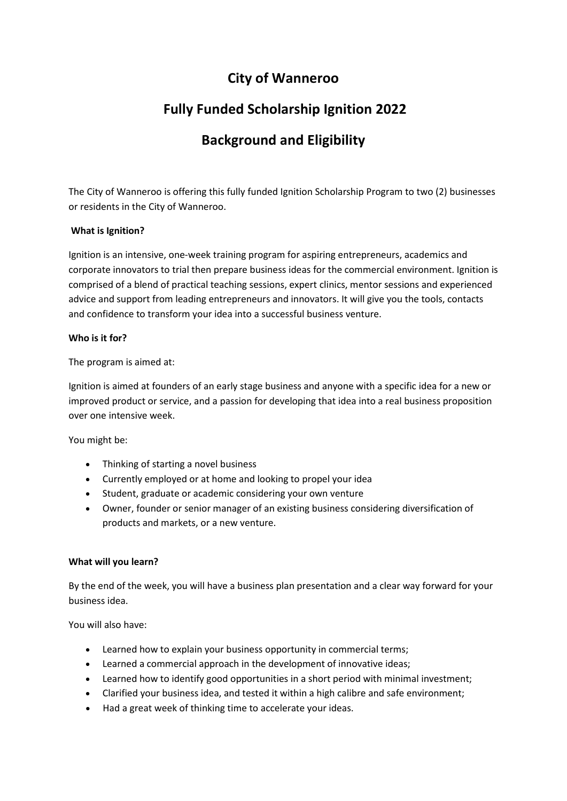### **City of Wanneroo**

# **Fully Funded Scholarship Ignition 2022**

## **Background and Eligibility**

The City of Wanneroo is offering this fully funded Ignition Scholarship Program to two (2) businesses or residents in the City of Wanneroo.

### **What is Ignition?**

Ignition is an intensive, one-week training program for aspiring entrepreneurs, academics and corporate innovators to trial then prepare business ideas for the commercial environment. Ignition is comprised of a blend of practical teaching sessions, expert clinics, mentor sessions and experienced advice and support from leading entrepreneurs and innovators. It will give you the tools, contacts and confidence to transform your idea into a successful business venture.

#### **Who is it for?**

The program is aimed at:

Ignition is aimed at founders of an early stage business and anyone with a specific idea for a new or improved product or service, and a passion for developing that idea into a real business proposition over one intensive week.

You might be:

- Thinking of starting a novel business
- Currently employed or at home and looking to propel your idea
- Student, graduate or academic considering your own venture
- Owner, founder or senior manager of an existing business considering diversification of products and markets, or a new venture.

#### **What will you learn?**

By the end of the week, you will have a business plan presentation and a clear way forward for your business idea.

You will also have:

- Learned how to explain your business opportunity in commercial terms;
- Learned a commercial approach in the development of innovative ideas;
- Learned how to identify good opportunities in a short period with minimal investment;
- Clarified your business idea, and tested it within a high calibre and safe environment;
- Had a great week of thinking time to accelerate your ideas.